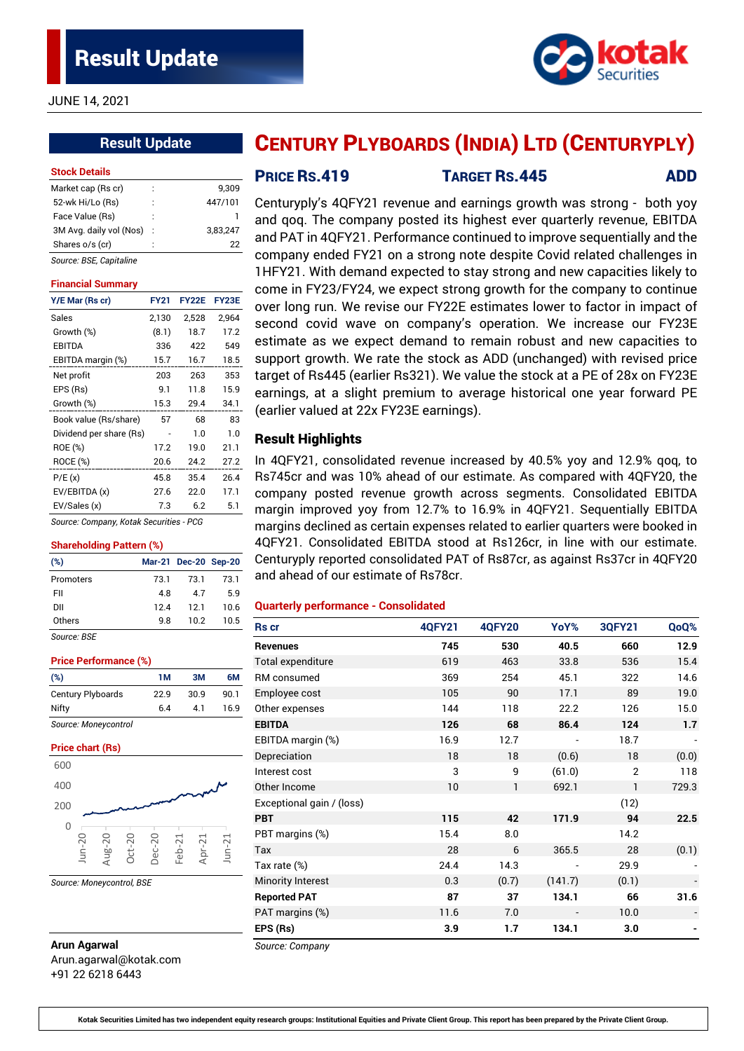JUNE 14, 2021

# **Result Update**

#### **Stock Details**

| Market cap (Rs cr)      | ÷  | 9.309    |
|-------------------------|----|----------|
| 52-wk Hi/Lo (Rs)        | İ  | 447/101  |
| Face Value (Rs)         | İ  |          |
| 3M Avg. daily vol (Nos) | t  | 3,83,247 |
| Shares o/s (cr)         | í. | 22       |
| Source: BSE, Capitaline |    |          |

#### **Financial Summary**

| Y/E Mar (Rs cr)                         | <b>FY21</b> | <b>FY22E</b> | FY23E |
|-----------------------------------------|-------------|--------------|-------|
| Sales                                   | 2,130       | 2,528        | 2,964 |
| Growth (%)                              | (8.1)       | 18.7         | 17.2  |
| EBITDA                                  | 336         | 422          | 549   |
| EBITDA margin (%)                       | 15.7        | 16.7         | 18.5  |
| Net profit                              | 203         | 263          | 353   |
| EPS (Rs)                                | 9.1         | 11.8         | 15.9  |
| Growth (%)                              | 15.3        | 29.4         | 34.1  |
| Book value (Rs/share)                   | 57          | 68           | 83    |
| Dividend per share (Rs)                 |             | 1.0          | 1.0   |
| ROE (%)                                 | 17.2        | 19.0         | 21.1  |
| ROCE (%)                                | 20.6        | 24.2         | 27.2  |
| P/E(x)                                  | 45.8        | 35.4         | 26.4  |
| EV/EBITDA (x)                           | 27.6        | 22.0         | 17.1  |
| EV/Sales (x)                            | 7.3         | 6.2          | 5.1   |
| Source: Company, Kotak Securities - PCG |             |              |       |

#### **Shareholding Pattern (%)**

| (%)         |      | Mar-21 Dec-20 Sep-20 |      |
|-------------|------|----------------------|------|
| Promoters   | 73.1 | 73.1                 | 73.1 |
| FII         | 4.8  | 47                   | 59   |
| DII         | 124  | 121                  | 10.6 |
| Others      | 9 R  | 10.2                 | 10.5 |
| Source: BSE |      |                      |      |

#### **Price Performance (%)**

| (%)               | 1 M  | 3M   | 6M   |
|-------------------|------|------|------|
| Century Plyboards | 22.9 | 30.9 | 90.1 |
| Nifty             | 6.4  | 41   | 16.9 |

*Source: Moneycontrol*

#### **Price chart (Rs)**



*Source: Moneycontrol, BSE*

# **Arun Agarwal**

Arun.agarwal@kotak.com +91 22 6218 6443

# CENTURY PLYBOARDS (INDIA) LTD (CENTURYPLY)

**PRICE RS.419 TARGET RS.445 ADD** 

Centuryply's 4QFY21 revenue and earnings growth was strong - both yoy and qoq. The company posted its highest ever quarterly revenue, EBITDA and PAT in 4QFY21. Performance continued to improve sequentially and the company ended FY21 on a strong note despite Covid related challenges in 1HFY21. With demand expected to stay strong and new capacities likely to come in FY23/FY24, we expect strong growth for the company to continue over long run. We revise our FY22E estimates lower to factor in impact of second covid wave on company's operation. We increase our FY23E estimate as we expect demand to remain robust and new capacities to support growth. We rate the stock as ADD (unchanged) with revised price target of Rs445 (earlier Rs321). We value the stock at a PE of 28x on FY23E earnings, at a slight premium to average historical one year forward PE (earlier valued at 22x FY23E earnings).

#### Result Highlights

In 4QFY21, consolidated revenue increased by 40.5% yoy and 12.9% qoq, to Rs745cr and was 10% ahead of our estimate. As compared with 4QFY20, the company posted revenue growth across segments. Consolidated EBITDA margin improved yoy from 12.7% to 16.9% in 4QFY21. Sequentially EBITDA margins declined as certain expenses related to earlier quarters were booked in 4QFY21. Consolidated EBITDA stood at Rs126cr, in line with our estimate. Centuryply reported consolidated PAT of Rs87cr, as against Rs37cr in 4QFY20 and ahead of our estimate of Rs78cr.

#### **Quarterly performance - Consolidated**

| <b>Rs</b> cr              | <b>40FY21</b> | <b>4QFY20</b> | YoY%    | <b>3QFY21</b>  | QoQ%  |
|---------------------------|---------------|---------------|---------|----------------|-------|
| <b>Revenues</b>           | 745           | 530           | 40.5    | 660            | 12.9  |
| Total expenditure         | 619           | 463           | 33.8    | 536            | 15.4  |
| RM consumed               | 369           | 254           | 45.1    | 322            | 14.6  |
| Employee cost             | 105           | 90            | 17.1    | 89             | 19.0  |
| Other expenses            | 144           | 118           | 22.2    | 126            | 15.0  |
| <b>EBITDA</b>             | 126           | 68            | 86.4    | 124            | 1.7   |
| EBITDA margin (%)         | 16.9          | 12.7          |         | 18.7           |       |
| Depreciation              | 18            | 18            | (0.6)   | 18             | (0.0) |
| Interest cost             | 3             | 9             | (61.0)  | $\overline{2}$ | 118   |
| Other Income              | 10            | $\mathbf{1}$  | 692.1   | 1              | 729.3 |
| Exceptional gain / (loss) |               |               |         | (12)           |       |
| <b>PBT</b>                | 115           | 42            | 171.9   | 94             | 22.5  |
| PBT margins (%)           | 15.4          | 8.0           |         | 14.2           |       |
| Tax                       | 28            | 6             | 365.5   | 28             | (0.1) |
| Tax rate (%)              | 24.4          | 14.3          |         | 29.9           |       |
| <b>Minority Interest</b>  | 0.3           | (0.7)         | (141.7) | (0.1)          |       |
| <b>Reported PAT</b>       | 87            | 37            | 134.1   | 66             | 31.6  |
| PAT margins (%)           | 11.6          | 7.0           |         | 10.0           |       |
| EPS (Rs)                  | 3.9           | 1.7           | 134.1   | 3.0            |       |

*Source: Company*

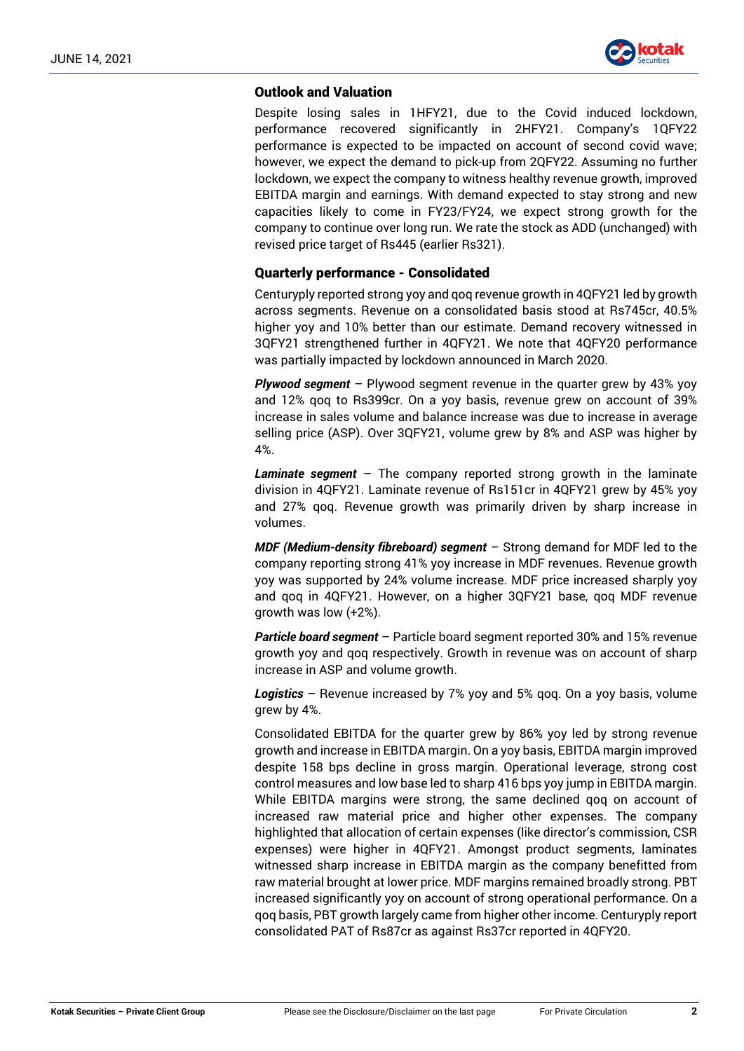

# Outlook and Valuation

Despite losing sales in 1HFY21, due to the Covid induced lockdown, performance recovered significantly in 2HFY21. Company's 1QFY22 performance is expected to be impacted on account of second covid wave; however, we expect the demand to pick-up from 2QFY22. Assuming no further lockdown, we expect the company to witness healthy revenue growth, improved EBITDA margin and earnings. With demand expected to stay strong and new capacities likely to come in FY23/FY24, we expect strong growth for the company to continue over long run. We rate the stock as ADD (unchanged) with revised price target of Rs445 (earlier Rs321).

# Quarterly performance - Consolidated

Centuryply reported strong yoy and qoq revenue growth in 4QFY21 led by growth across segments. Revenue on a consolidated basis stood at Rs745cr, 40.5% higher yoy and 10% better than our estimate. Demand recovery witnessed in 3QFY21 strengthened further in 4QFY21. We note that 4QFY20 performance was partially impacted by lockdown announced in March 2020.

*Plywood segment* – Plywood segment revenue in the quarter grew by 43% yoy and 12% qoq to Rs399cr. On a yoy basis, revenue grew on account of 39% increase in sales volume and balance increase was due to increase in average selling price (ASP). Over 3QFY21, volume grew by 8% and ASP was higher by 4%.

*Laminate segment* – The company reported strong growth in the laminate division in 4QFY21. Laminate revenue of Rs151cr in 4QFY21 grew by 45% yoy and 27% qoq. Revenue growth was primarily driven by sharp increase in volumes.

*MDF (Medium-density fibreboard) segment* – Strong demand for MDF led to the company reporting strong 41% yoy increase in MDF revenues. Revenue growth yoy was supported by 24% volume increase. MDF price increased sharply yoy and qoq in 4QFY21. However, on a higher 3QFY21 base, qoq MDF revenue growth was low (+2%).

*Particle board segment* – Particle board segment reported 30% and 15% revenue growth yoy and qoq respectively. Growth in revenue was on account of sharp increase in ASP and volume growth.

*Logistics* – Revenue increased by 7% yoy and 5% qoq. On a yoy basis, volume grew by 4%.

Consolidated EBITDA for the quarter grew by 86% yoy led by strong revenue growth and increase in EBITDA margin. On a yoy basis, EBITDA margin improved despite 158 bps decline in gross margin. Operational leverage, strong cost control measures and low base led to sharp 416 bps yoy jump in EBITDA margin. While EBITDA margins were strong, the same declined qoq on account of increased raw material price and higher other expenses. The company highlighted that allocation of certain expenses (like director's commission, CSR expenses) were higher in 4QFY21. Amongst product segments, laminates witnessed sharp increase in EBITDA margin as the company benefitted from raw material brought at lower price. MDF margins remained broadly strong. PBT increased significantly yoy on account of strong operational performance. On a qoq basis, PBT growth largely came from higher other income. Centuryply report consolidated PAT of Rs87cr as against Rs37cr reported in 4QFY20.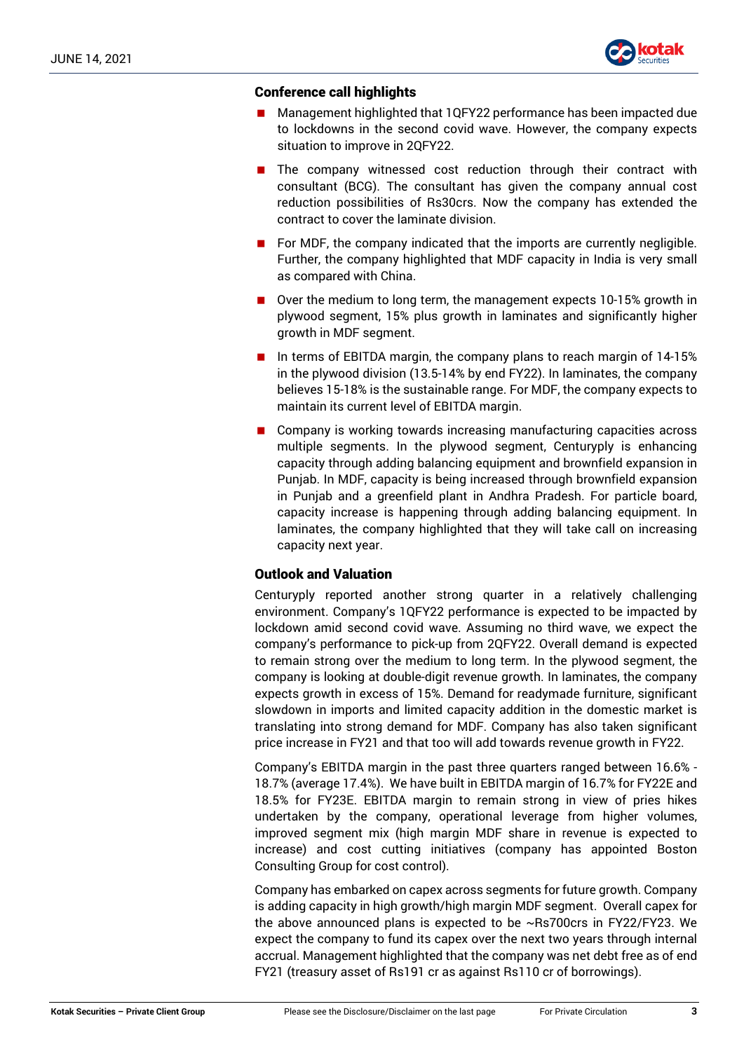

## Conference call highlights

- Management highlighted that 1QFY22 performance has been impacted due to lockdowns in the second covid wave. However, the company expects situation to improve in 2QFY22.
- The company witnessed cost reduction through their contract with consultant (BCG). The consultant has given the company annual cost reduction possibilities of Rs30crs. Now the company has extended the contract to cover the laminate division.
- For MDF, the company indicated that the imports are currently negligible. Further, the company highlighted that MDF capacity in India is very small as compared with China.
- Over the medium to long term, the management expects 10-15% growth in plywood segment, 15% plus growth in laminates and significantly higher growth in MDF segment.
- In terms of EBITDA margin, the company plans to reach margin of  $14-15\%$ in the plywood division (13.5-14% by end FY22). In laminates, the company believes 15-18% is the sustainable range. For MDF, the company expects to maintain its current level of EBITDA margin.
- Company is working towards increasing manufacturing capacities across multiple segments. In the plywood segment, Centuryply is enhancing capacity through adding balancing equipment and brownfield expansion in Punjab. In MDF, capacity is being increased through brownfield expansion in Punjab and a greenfield plant in Andhra Pradesh. For particle board, capacity increase is happening through adding balancing equipment. In laminates, the company highlighted that they will take call on increasing capacity next year.

## Outlook and Valuation

Centuryply reported another strong quarter in a relatively challenging environment. Company's 1QFY22 performance is expected to be impacted by lockdown amid second covid wave. Assuming no third wave, we expect the company's performance to pick-up from 2QFY22. Overall demand is expected to remain strong over the medium to long term. In the plywood segment, the company is looking at double-digit revenue growth. In laminates, the company expects growth in excess of 15%. Demand for readymade furniture, significant slowdown in imports and limited capacity addition in the domestic market is translating into strong demand for MDF. Company has also taken significant price increase in FY21 and that too will add towards revenue growth in FY22.

Company's EBITDA margin in the past three quarters ranged between 16.6% - 18.7% (average 17.4%). We have built in EBITDA margin of 16.7% for FY22E and 18.5% for FY23E. EBITDA margin to remain strong in view of pries hikes undertaken by the company, operational leverage from higher volumes, improved segment mix (high margin MDF share in revenue is expected to increase) and cost cutting initiatives (company has appointed Boston Consulting Group for cost control).

Company has embarked on capex across segments for future growth. Company is adding capacity in high growth/high margin MDF segment. Overall capex for the above announced plans is expected to be ~Rs700crs in FY22/FY23. We expect the company to fund its capex over the next two years through internal accrual. Management highlighted that the company was net debt free as of end FY21 (treasury asset of Rs191 cr as against Rs110 cr of borrowings).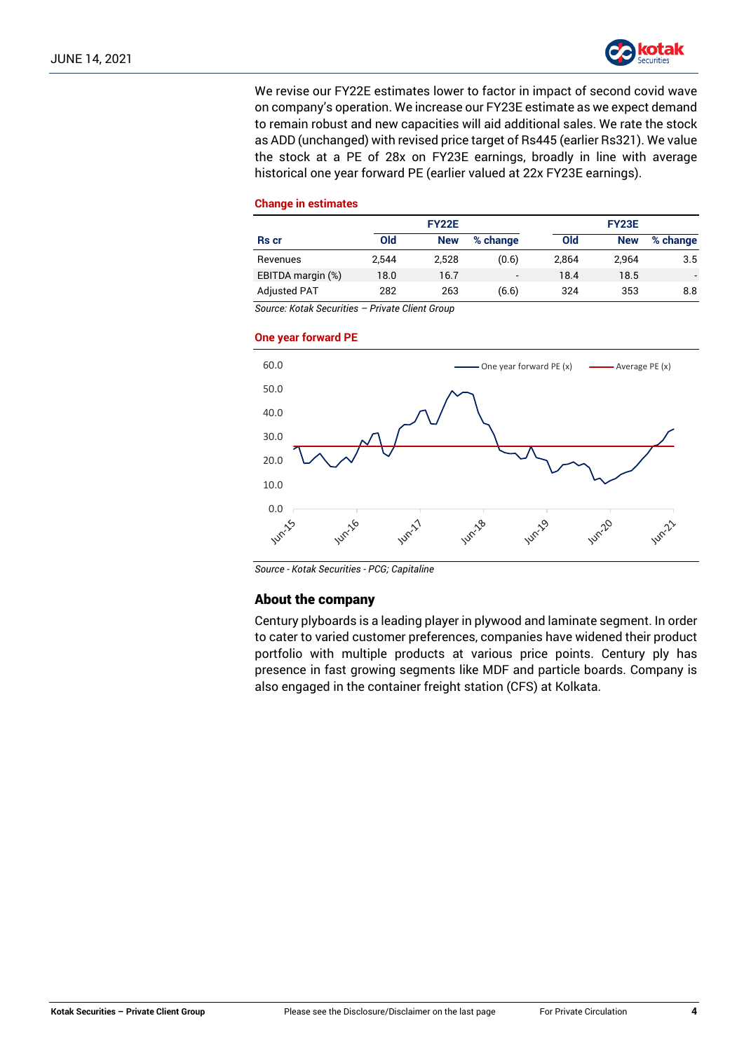

We revise our FY22E estimates lower to factor in impact of second covid wave on company's operation. We increase our FY23E estimate as we expect demand to remain robust and new capacities will aid additional sales. We rate the stock as ADD (unchanged) with revised price target of Rs445 (earlier Rs321). We value the stock at a PE of 28x on FY23E earnings, broadly in line with average historical one year forward PE (earlier valued at 22x FY23E earnings).

#### **Change in estimates**

| <b>FY22E</b>        |       |            |                          | <b>FY23E</b> |            |          |
|---------------------|-------|------------|--------------------------|--------------|------------|----------|
| <b>Rs</b> cr        | Old   | <b>New</b> | % change                 | Old          | <b>New</b> | % change |
| Revenues            | 2.544 | 2.528      | (0.6)                    | 2.864        | 2.964      | 3.5      |
| EBITDA margin (%)   | 18.0  | 16.7       | $\overline{\phantom{a}}$ | 18.4         | 18.5       |          |
| <b>Adjusted PAT</b> | 282   | 263        | (6.6)                    | 324          | 353        | 8.8      |

*Source: Kotak Securities – Private Client Group*

#### **One year forward PE**



*Source - Kotak Securities - PCG; Capitaline*

## About the company

Century plyboards is a leading player in plywood and laminate segment. In order to cater to varied customer preferences, companies have widened their product portfolio with multiple products at various price points. Century ply has presence in fast growing segments like MDF and particle boards. Company is also engaged in the container freight station (CFS) at Kolkata.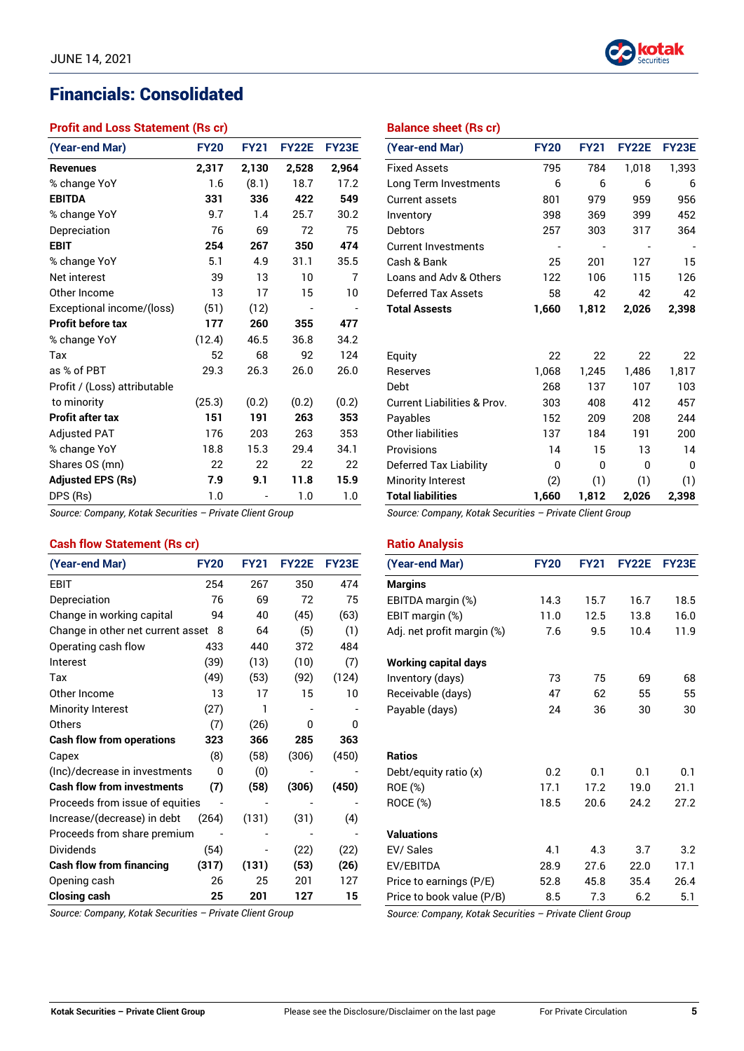# Financials: Consolidated

# **Profit and Loss Statement (Rs cr)**

| (Year-end Mar)               | <b>FY20</b> | <b>FY21</b> | <b>FY22E</b> | <b>FY23E</b> |
|------------------------------|-------------|-------------|--------------|--------------|
| <b>Revenues</b>              | 2,317       | 2,130       | 2,528        | 2,964        |
| % change YoY                 | 1.6         | (8.1)       | 18.7         | 17.2         |
| <b>EBITDA</b>                | 331         | 336         | 422          | 549          |
| % change YoY                 | 9.7         | 1.4         | 25.7         | 30.2         |
| Depreciation                 | 76          | 69          | 72           | 75           |
| <b>EBIT</b>                  | 254         | 267         | 350          | 474          |
| % change YoY                 | 5.1         | 4.9         | 31.1         | 35.5         |
| Net interest                 | 39          | 13          | 10           | 7            |
| Other Income                 | 13          | 17          | 15           | 10           |
| Exceptional income/(loss)    | (51)        | (12)        |              |              |
| <b>Profit before tax</b>     | 177         | 260         | 355          | 477          |
| % change YoY                 | (12.4)      | 46.5        | 36.8         | 34.2         |
| Tax                          | 52          | 68          | 92           | 124          |
| as % of PBT                  | 29.3        | 26.3        | 26.0         | 26.0         |
| Profit / (Loss) attributable |             |             |              |              |
| to minority                  | (25.3)      | (0.2)       | (0.2)        | (0.2)        |
| Profit after tax             | 151         | 191         | 263          | 353          |
| <b>Adjusted PAT</b>          | 176         | 203         | 263          | 353          |
| % change YoY                 | 18.8        | 15.3        | 29.4         | 34.1         |
| Shares OS (mn)               | 22          | 22          | 22           | 22           |
| <b>Adjusted EPS (Rs)</b>     | 7.9         | 9.1         | 11.8         | 15.9         |
| DPS (Rs)                     | 1.0         |             | 1.0          | 1.0          |

*Source: Company, Kotak Securities – Private Client Group*

# **Cash flow Statement (Rs cr)**

| (Year-end Mar)                    | <b>FY20</b> | <b>FY21</b> | <b>FY22E</b> | FY23E |
|-----------------------------------|-------------|-------------|--------------|-------|
| EBIT                              | 254         | 267         | 350          | 474   |
| Depreciation                      | 76          | 69          | 72           | 75    |
| Change in working capital         | 94          | 40          | (45)         | (63)  |
| Change in other net current asset | 8           | 64          | (5)          | (1)   |
| Operating cash flow               | 433         | 440         | 372          | 484   |
| Interest                          | (39)        | (13)        | (10)         | (7)   |
| Tax                               | (49)        | (53)        | (92)         | (124) |
| Other Income                      | 13          | 17          | 15           | 10    |
| Minority Interest                 | (27)        | 1           |              |       |
| Others                            | (7)         | (26)        | 0            | 0     |
| <b>Cash flow from operations</b>  | 323         | 366         | 285          | 363   |
| Capex                             | (8)         | (58)        | (306)        | (450) |
| (Inc)/decrease in investments     | 0           | (0)         |              |       |
| <b>Cash flow from investments</b> | (7)         | (58)        | (306)        | (450) |
| Proceeds from issue of equities   |             |             |              |       |
| Increase/(decrease) in debt       | (264)       | (131)       | (31)         | (4)   |
| Proceeds from share premium       |             |             |              |       |
| <b>Dividends</b>                  | (54)        |             | (22)         | (22)  |
| <b>Cash flow from financing</b>   | (317)       | (131)       | (53)         | (26)  |
| Opening cash                      | 26          | 25          | 201          | 127   |
| <b>Closing cash</b>               | 25          | 201         | 127          | 15    |

*Source: Company, Kotak Securities – Private Client Group*

**Balance sheet (Rs cr)**

| (Year-end Mar)                         | <b>FY20</b> | <b>FY21</b> | <b>FY22E</b> | <b>FY23E</b> |
|----------------------------------------|-------------|-------------|--------------|--------------|
| <b>Fixed Assets</b>                    | 795         | 784         | 1,018        | 1,393        |
| Long Term Investments                  | 6           | 6           | 6            | 6            |
| Current assets                         | 801         | 979         | 959          | 956          |
| Inventory                              | 398         | 369         | 399          | 452          |
| Debtors                                | 257         | 303         | 317          | 364          |
| <b>Current Investments</b>             |             |             |              |              |
| Cash & Bank                            | 25          | 201         | 127          | 15           |
| Loans and Adv & Others                 | 122         | 106         | 115          | 126          |
| <b>Deferred Tax Assets</b>             | 58          | 42          | 42           | 42           |
| <b>Total Assests</b>                   | 1,660       | 1,812       | 2,026        | 2,398        |
|                                        |             |             |              |              |
| Equity                                 | 22          | 22          | 22           | 22           |
| Reserves                               | 1,068       | 1,245       | 1,486        | 1,817        |
| Debt                                   | 268         | 137         | 107          | 103          |
| <b>Current Liabilities &amp; Prov.</b> | 303         | 408         | 412          | 457          |
| Payables                               | 152         | 209         | 208          | 244          |
| Other liabilities                      | 137         | 184         | 191          | 200          |
| Provisions                             | 14          | 15          | 13           | 14           |
| Deferred Tax Liability                 | 0           | 0           | 0            | 0            |
| Minority Interest                      | (2)         | (1)         | (1)          | (1)          |
| <b>Total liabilities</b>               | 1,660       | 1,812       | 2,026        | 2,398        |

*Source: Company, Kotak Securities – Private Client Group*

#### **Ratio Analysis**

| (Year-end Mar)              | <b>FY20</b> | <b>FY21</b> | <b>FY22E</b> | <b>FY23E</b> |
|-----------------------------|-------------|-------------|--------------|--------------|
| <b>Margins</b>              |             |             |              |              |
| EBITDA margin (%)           | 14.3        | 15.7        | 16.7         | 18.5         |
| EBIT margin (%)             | 11.0        | 12.5        | 13.8         | 16.0         |
| Adj. net profit margin (%)  | 7.6         | 9.5         | 10.4         | 11.9         |
| <b>Working capital days</b> |             |             |              |              |
| Inventory (days)            | 73          | 75          | 69           | 68           |
| Receivable (days)           | 47          | 62          | 55           | 55           |
| Payable (days)              | 24          | 36          | 30           | 30           |
| <b>Ratios</b>               |             |             |              |              |
| Debt/equity ratio (x)       | 0.2         | 0.1         | 0.1          | 0.1          |
| ROE (%)                     | 17.1        | 17.2        | 19.0         | 21.1         |
| <b>ROCE (%)</b>             | 18.5        | 20.6        | 24.2         | 27.2         |
| <b>Valuations</b>           |             |             |              |              |
| EV/ Sales                   | 4.1         | 4.3         | 3.7          | 3.2          |
| EV/EBITDA                   | 28.9        | 27.6        | 22.0         | 17.1         |
| Price to earnings (P/E)     | 52.8        | 45.8        | 35.4         | 26.4         |
| Price to book value (P/B)   | 8.5         | 7.3         | 6.2          | 5.1          |

*Source: Company, Kotak Securities – Private Client Group*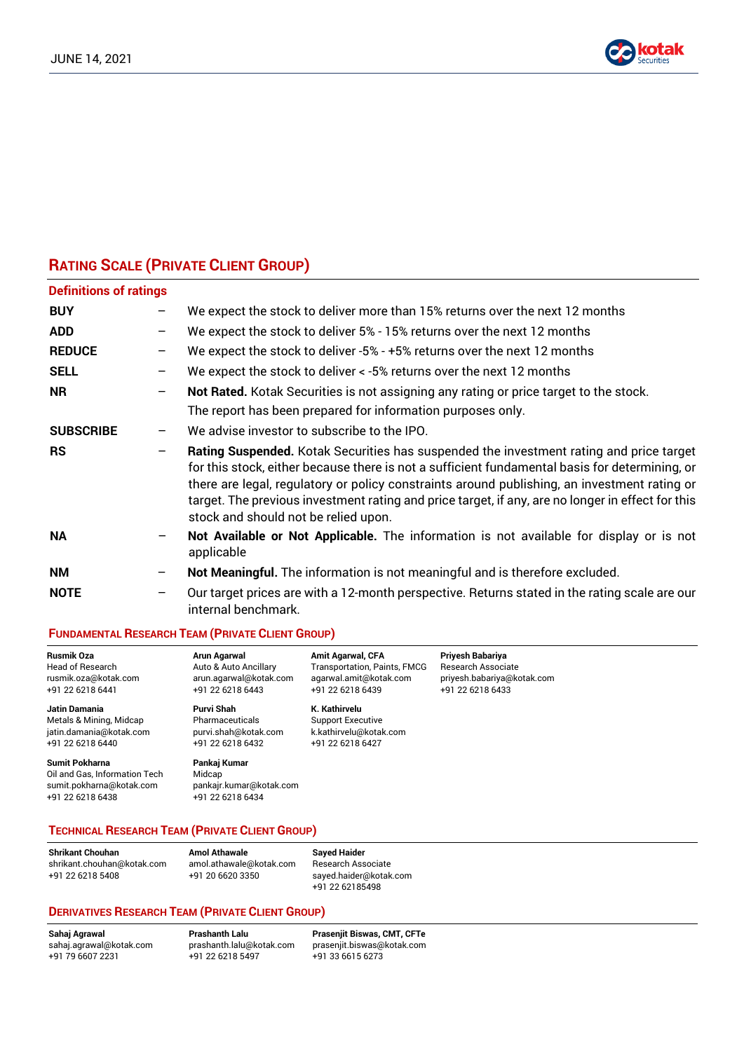

# **RATING SCALE (PRIVATE CLIENT GROUP)**

| <b>Definitions of ratings</b> |                 |                                                                                                                                                                                                                                                                                                                                                                                                                                        |
|-------------------------------|-----------------|----------------------------------------------------------------------------------------------------------------------------------------------------------------------------------------------------------------------------------------------------------------------------------------------------------------------------------------------------------------------------------------------------------------------------------------|
| <b>BUY</b>                    |                 | We expect the stock to deliver more than 15% returns over the next 12 months                                                                                                                                                                                                                                                                                                                                                           |
| <b>ADD</b>                    |                 | We expect the stock to deliver 5% - 15% returns over the next 12 months                                                                                                                                                                                                                                                                                                                                                                |
| <b>REDUCE</b>                 | -               | We expect the stock to deliver -5% - +5% returns over the next 12 months                                                                                                                                                                                                                                                                                                                                                               |
| <b>SELL</b>                   |                 | We expect the stock to deliver < -5% returns over the next 12 months                                                                                                                                                                                                                                                                                                                                                                   |
| <b>NR</b>                     | $\qquad \qquad$ | Not Rated. Kotak Securities is not assigning any rating or price target to the stock.<br>The report has been prepared for information purposes only.                                                                                                                                                                                                                                                                                   |
| <b>SUBSCRIBE</b>              | -               | We advise investor to subscribe to the IPO.                                                                                                                                                                                                                                                                                                                                                                                            |
| <b>RS</b>                     |                 | Rating Suspended. Kotak Securities has suspended the investment rating and price target<br>for this stock, either because there is not a sufficient fundamental basis for determining, or<br>there are legal, regulatory or policy constraints around publishing, an investment rating or<br>target. The previous investment rating and price target, if any, are no longer in effect for this<br>stock and should not be relied upon. |
| <b>NA</b>                     |                 | Not Available or Not Applicable. The information is not available for display or is not<br>applicable                                                                                                                                                                                                                                                                                                                                  |
| <b>NM</b>                     |                 | Not Meaningful. The information is not meaningful and is therefore excluded.                                                                                                                                                                                                                                                                                                                                                           |
| <b>NOTE</b>                   | $\qquad \qquad$ | Our target prices are with a 12-month perspective. Returns stated in the rating scale are our<br>internal benchmark.                                                                                                                                                                                                                                                                                                                   |

#### **FUNDAMENTAL RESEARCH TEAM (PRIVATE CLIENT GROUP)**

| <b>Rusmik Oza</b>                                                                               | <b>Arun Agarwal</b>                                                   | <b>Amit Agarwal, CFA</b>     | Priyesh Babariya           |
|-------------------------------------------------------------------------------------------------|-----------------------------------------------------------------------|------------------------------|----------------------------|
| Head of Research                                                                                | Auto & Auto Ancillary                                                 | Transportation, Paints, FMCG | <b>Research Associate</b>  |
| rusmik.oza@kotak.com                                                                            | arun.agarwal@kotak.com                                                | agarwal.amit@kotak.com       | priyesh.babariya@kotak.com |
| +91 22 6218 6441                                                                                | +91 22 6218 6443                                                      | +91 22 6218 6439             | +91 22 6218 6433           |
| Jatin Damania                                                                                   | Purvi Shah                                                            | K. Kathirvelu                |                            |
| Metals & Mining, Midcap                                                                         | Pharmaceuticals                                                       | <b>Support Executive</b>     |                            |
| jatin.damania@kotak.com                                                                         | purvi.shah@kotak.com                                                  | k.kathirvelu@kotak.com       |                            |
| +91 22 6218 6440                                                                                | +91 22 6218 6432                                                      | +91 22 6218 6427             |                            |
| Sumit Pokharna<br>Oil and Gas, Information Tech<br>sumit.pokharna@kotak.com<br>+91 22 6218 6438 | Pankaj Kumar<br>Midcap<br>pankajr.kumar@kotak.com<br>+91 22 6218 6434 |                              |                            |

# **TECHNICAL RESEARCH TEAM (PRIVATE CLIENT GROUP)**

| <b>Shrikant Chouhan</b>    |
|----------------------------|
| shrikant.chouhan@kotak.cor |
| +91 22 6218 5408           |

**Shrikant Chouhan Amol Athawale Sayed Haider** m amol.athawale@kotak.com Research Associate

+91 22 6218 5408 +91 20 6620 3350 sayed.haider@kotak.com +91 22 62185498

#### **DERIVATIVES RESEARCH TEAM (PRIVATE CLIENT GROUP)**

 $+91$  22 6218 5497

**Sahaj Agrawal Prashanth Lalu Prasenjit Biswas, CMT, CFTe** [sahaj.agrawal@kotak.com](mailto:sahaj.agrawal@kotak.com) [prashanth.lalu@kotak.com](mailto:prashanth.lalu@kotak.com) [prasenjit.biswas@kotak.com](mailto:prasenjit.biswas@kotak.com)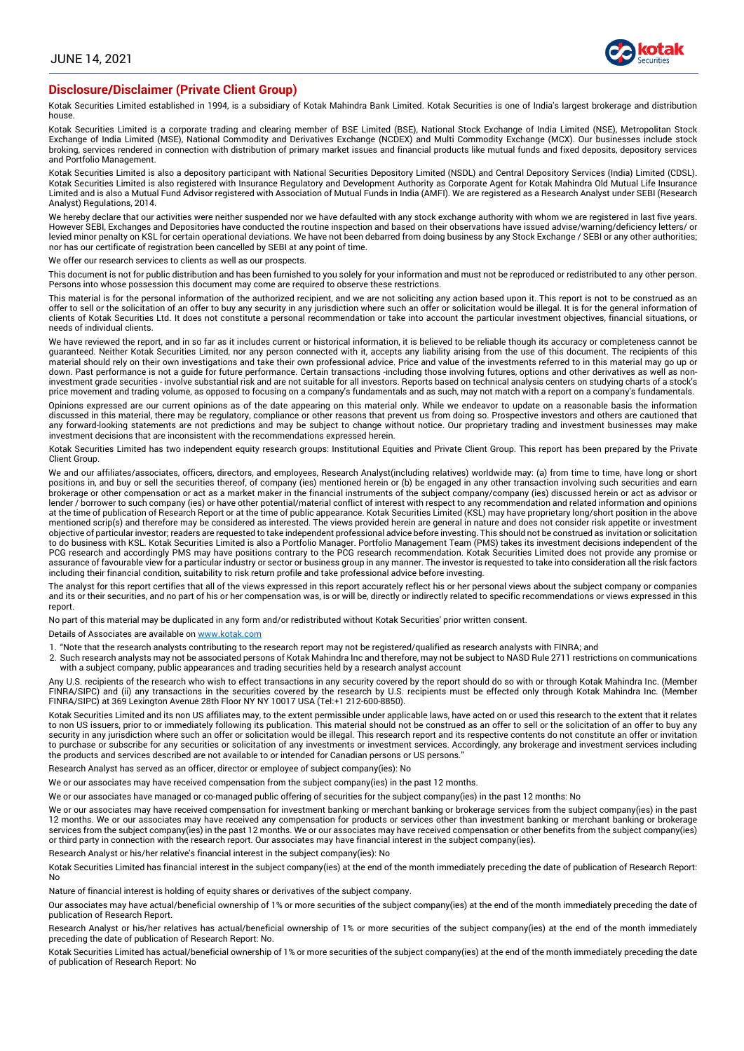

#### **Disclosure/Disclaimer (Private Client Group)**

Kotak Securities Limited established in 1994, is a subsidiary of Kotak Mahindra Bank Limited. Kotak Securities is one of India's largest brokerage and distribution house.

Kotak Securities Limited is a corporate trading and clearing member of BSE Limited (BSE), National Stock Exchange of India Limited (NSE), Metropolitan Stock Exchange of India Limited (MSE), National Commodity and Derivatives Exchange (NCDEX) and Multi Commodity Exchange (MCX). Our businesses include stock broking, services rendered in connection with distribution of primary market issues and financial products like mutual funds and fixed deposits, depository services and Portfolio Management.

Kotak Securities Limited is also a depository participant with National Securities Depository Limited (NSDL) and Central Depository Services (India) Limited (CDSL).<br>Kotak Securities Limited is also registered with Insuranc Limited and is also a Mutual Fund Advisor registered with Association of Mutual Funds in India (AMFI). We are registered as a Research Analyst under SEBI (Research Analyst) Regulations, 2014.

We hereby declare that our activities were neither suspended nor we have defaulted with any stock exchange authority with whom we are registered in last five years. However SEBI, Exchanges and Depositories have conducted the routine inspection and based on their observations have issued advise/warning/deficiency letters/ or levied minor penalty on KSL for certain operational deviations. We have not been debarred from doing business by any Stock Exchange / SEBI or any other authorities; nor has our certificate of registration been cancelled by SEBI at any point of time.

We offer our research services to clients as well as our prospects.

This document is not for public distribution and has been furnished to you solely for your information and must not be reproduced or redistributed to any other person.<br>Persons into whose possession this document may come a

This material is for the personal information of the authorized recipient, and we are not soliciting any action based upon it. This report is not to be construed as an offer to sell or the solicitation of an offer to buy any security in any jurisdiction where such an offer or solicitation would be illegal. It is for the general information of clients of Kotak Securities Ltd. It does not constitute a personal recommendation or take into account the particular investment objectives, financial situations, or needs of individual clients.

We have reviewed the report, and in so far as it includes current or historical information, it is believed to be reliable though its accuracy or completeness cannot be guaranteed. Neither Kotak Securities Limited, nor any person connected with it, accepts any liability arising from the use of this document. The recipients of this material should rely on their own investigations and take their own professional advice. Price and value of the investments referred to in this material may go up or down. Past performance is not a guide for future performance. Certain transactions -including those involving futures, options and other derivatives as well as noninvestment grade securities - involve substantial risk and are not suitable for all investors. Reports based on technical analysis centers on studying charts of a stock's price movement and trading volume, as opposed to focusing on a company's fundamentals and as such, may not match with a report on a company's fundamentals.

Opinions expressed are our current opinions as of the date appearing on this material only. While we endeavor to update on a reasonable basis the information discussed in this material, there may be regulatory, compliance or other reasons that prevent us from doing so. Prospective investors and others are cautioned that any forward-looking statements are not predictions and may be subject to change without notice. Our proprietary trading and investment businesses may make investment decisions that are inconsistent with the recommendations expressed herein.

Kotak Securities Limited has two independent equity research groups: Institutional Equities and Private Client Group. This report has been prepared by the Private Client Group.

We and our affiliates/associates, officers, directors, and employees, Research Analyst(including relatives) worldwide may: (a) from time to time, have long or short positions in, and buy or sell the securities thereof, of company (ies) mentioned herein or (b) be engaged in any other transaction involving such securities and earn brokerage or other compensation or act as a market maker in the financial instruments of the subject company/company (ies) discussed herein or act as advisor or lender / borrower to such company (ies) or have other potential/material conflict of interest with respect to any recommendation and related information and opinions at the time of publication of Research Report or at the time of public appearance. Kotak Securities Limited (KSL) may have proprietary long/short position in the above mentioned scrip(s) and therefore may be considered as interested. The views provided herein are general in nature and does not consider risk appetite or investment objective of particular investor; readers are requested to take independent professional advice before investing. This should not be construed as invitation or solicitation<br>to do business with KSL. Kotak Securities Limited PCG research and accordingly PMS may have positions contrary to the PCG research recommendation. Kotak Securities Limited does not provide any promise or assurance of favourable view for a particular industry or sector or business group in any manner. The investor is requested to take into consideration all the risk factors including their financial condition, suitability to risk return profile and take professional advice before investing.

The analyst for this report certifies that all of the views expressed in this report accurately reflect his or her personal views about the subject company or companies and its or their securities, and no part of his or her compensation was, is or will be, directly or indirectly related to specific recommendations or views expressed in this report.

No part of this material may be duplicated in any form and/or redistributed without Kotak Securities' prior written consent.

Details of Associates are available on [www.kotak.com](http://www.kotak.com/)

1. "Note that the research analysts contributing to the research report may not be registered/qualified as research analysts with FINRA; and

2. Such research analysts may not be associated persons of Kotak Mahindra Inc and therefore, may not be subject to NASD Rule 2711 restrictions on communications with a subject company, public appearances and trading securities held by a research analyst account

Any U.S. recipients of the research who wish to effect transactions in any security covered by the report should do so with or through Kotak Mahindra Inc. (Member FINRA/SIPC) and (ii) any transactions in the securities covered by the research by U.S. recipients must be effected only through Kotak Mahindra Inc. (Member FINRA/SIPC) at 369 Lexington Avenue 28th Floor NY NY 10017 USA (Tel:+1 212-600-8850).

Kotak Securities Limited and its non US affiliates may, to the extent permissible under applicable laws, have acted on or used this research to the extent that it relates to non US issuers, prior to or immediately following its publication. This material should not be construed as an offer to sell or the solicitation of an offer to buy any security in any jurisdiction where such an offer or solicitation would be illegal. This research report and its respective contents do not constitute an offer or invitation to purchase or subscribe for any securities or solicitation of any investments or investment services. Accordingly, any brokerage and investment services including the products and services described are not available to or intended for Canadian persons or US persons."

Research Analyst has served as an officer, director or employee of subject company(ies): No

We or our associates may have received compensation from the subject company(ies) in the past 12 months.

We or our associates have managed or co-managed public offering of securities for the subject company(ies) in the past 12 months: No

We or our associates may have received compensation for investment banking or merchant banking or brokerage services from the subject company(ies) in the past 12 months. We or our associates may have received any compensation for products or services other than investment banking or merchant banking or brokerage services from the subject company(ies) in the past 12 months. We or our associates may have received compensation or other benefits from the subject company(ies) or third party in connection with the research report. Our associates may have financial interest in the subject company(ies).

Research Analyst or his/her relative's financial interest in the subject company(ies): No

Kotak Securities Limited has financial interest in the subject company(ies) at the end of the month immediately preceding the date of publication of Research Report: No

Nature of financial interest is holding of equity shares or derivatives of the subject company.

Our associates may have actual/beneficial ownership of 1% or more securities of the subject company(ies) at the end of the month immediately preceding the date of publication of Research Report.

Research Analyst or his/her relatives has actual/beneficial ownership of 1% or more securities of the subject company(ies) at the end of the month immediately preceding the date of publication of Research Report: No.

Kotak Securities Limited has actual/beneficial ownership of 1% or more securities of the subject company(ies) at the end of the month immediately preceding the date of publication of Research Report: No